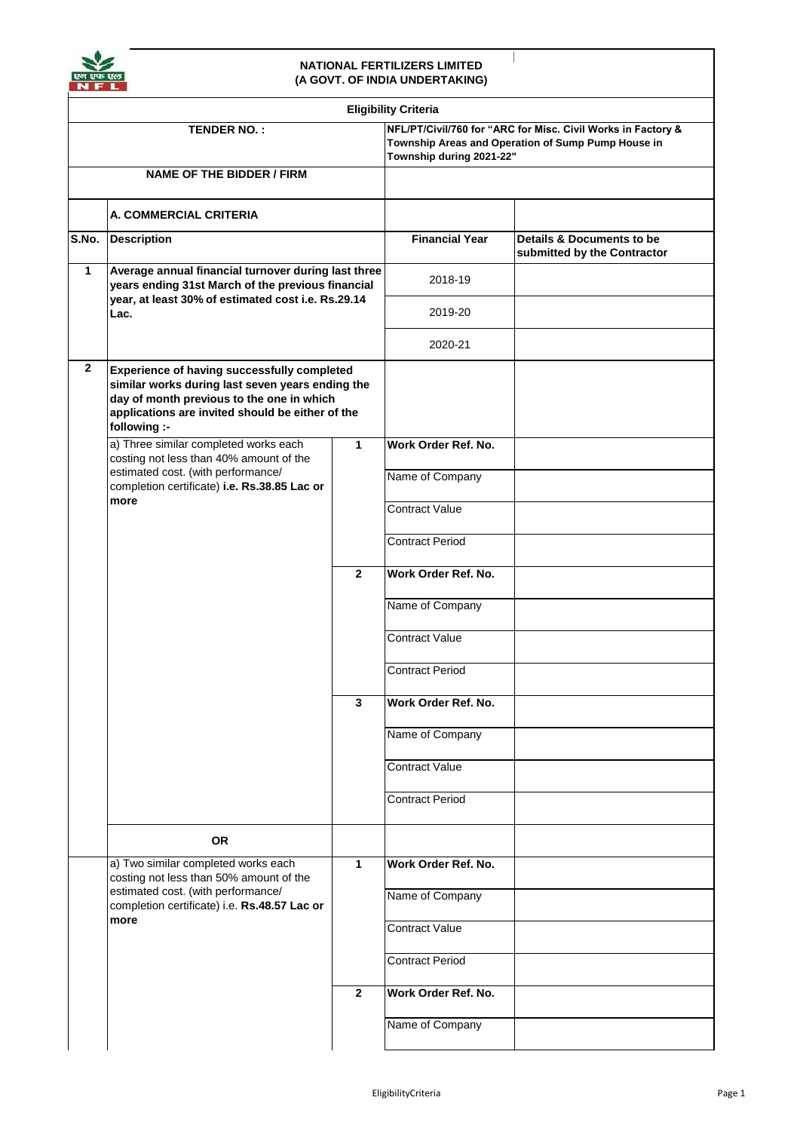

## **NATIONAL FERTILIZERS LIMITED (A GOVT. OF INDIA UNDERTAKING)**

 $\overline{\phantom{a}}$ 

|                                  |                                                                                                                                                                                                                  |                | <b>Eligibility Criteria</b>                                                                                                                    |                                                          |
|----------------------------------|------------------------------------------------------------------------------------------------------------------------------------------------------------------------------------------------------------------|----------------|------------------------------------------------------------------------------------------------------------------------------------------------|----------------------------------------------------------|
|                                  | TENDER NO.:                                                                                                                                                                                                      |                | NFL/PT/Civil/760 for "ARC for Misc. Civil Works in Factory &<br>Township Areas and Operation of Sump Pump House in<br>Township during 2021-22" |                                                          |
| <b>NAME OF THE BIDDER / FIRM</b> |                                                                                                                                                                                                                  |                |                                                                                                                                                |                                                          |
|                                  | A. COMMERCIAL CRITERIA                                                                                                                                                                                           |                |                                                                                                                                                |                                                          |
| S.No.                            | <b>Description</b>                                                                                                                                                                                               |                | <b>Financial Year</b>                                                                                                                          | Details & Documents to be<br>submitted by the Contractor |
| 1                                | Average annual financial turnover during last three<br>years ending 31st March of the previous financial<br>year, at least 30% of estimated cost i.e. Rs.29.14<br>Lac.                                           |                | 2018-19                                                                                                                                        |                                                          |
|                                  |                                                                                                                                                                                                                  |                | 2019-20                                                                                                                                        |                                                          |
|                                  |                                                                                                                                                                                                                  |                | 2020-21                                                                                                                                        |                                                          |
| $\mathbf{2}$                     | Experience of having successfully completed<br>similar works during last seven years ending the<br>day of month previous to the one in which<br>applications are invited should be either of the<br>following :- |                |                                                                                                                                                |                                                          |
|                                  | a) Three similar completed works each<br>costing not less than 40% amount of the<br>estimated cost. (with performance/<br>completion certificate) i.e. Rs.38.85 Lac or<br>more                                   | 1              | Work Order Ref. No.                                                                                                                            |                                                          |
|                                  |                                                                                                                                                                                                                  |                | Name of Company                                                                                                                                |                                                          |
|                                  |                                                                                                                                                                                                                  |                | Contract Value                                                                                                                                 |                                                          |
|                                  |                                                                                                                                                                                                                  |                | <b>Contract Period</b>                                                                                                                         |                                                          |
|                                  |                                                                                                                                                                                                                  | $\overline{2}$ | Work Order Ref. No.                                                                                                                            |                                                          |
|                                  |                                                                                                                                                                                                                  |                | Name of Company                                                                                                                                |                                                          |
|                                  |                                                                                                                                                                                                                  |                | <b>Contract Value</b>                                                                                                                          |                                                          |
|                                  |                                                                                                                                                                                                                  |                | <b>Contract Period</b>                                                                                                                         |                                                          |
|                                  |                                                                                                                                                                                                                  | 3              | Work Order Ref. No.                                                                                                                            |                                                          |
|                                  |                                                                                                                                                                                                                  |                | Name of Company                                                                                                                                |                                                          |
|                                  |                                                                                                                                                                                                                  |                | Contract Value                                                                                                                                 |                                                          |
|                                  |                                                                                                                                                                                                                  |                | <b>Contract Period</b>                                                                                                                         |                                                          |
|                                  | OR.                                                                                                                                                                                                              |                |                                                                                                                                                |                                                          |
|                                  | a) Two similar completed works each<br>costing not less than 50% amount of the<br>estimated cost. (with performance/<br>completion certificate) i.e. Rs.48.57 Lac or<br>more                                     | 1              | Work Order Ref. No.                                                                                                                            |                                                          |
|                                  |                                                                                                                                                                                                                  |                | Name of Company                                                                                                                                |                                                          |
|                                  |                                                                                                                                                                                                                  |                | <b>Contract Value</b>                                                                                                                          |                                                          |
|                                  |                                                                                                                                                                                                                  |                | <b>Contract Period</b>                                                                                                                         |                                                          |
|                                  |                                                                                                                                                                                                                  | $\overline{2}$ | Work Order Ref. No.                                                                                                                            |                                                          |
|                                  |                                                                                                                                                                                                                  |                | Name of Company                                                                                                                                |                                                          |
|                                  |                                                                                                                                                                                                                  |                |                                                                                                                                                |                                                          |